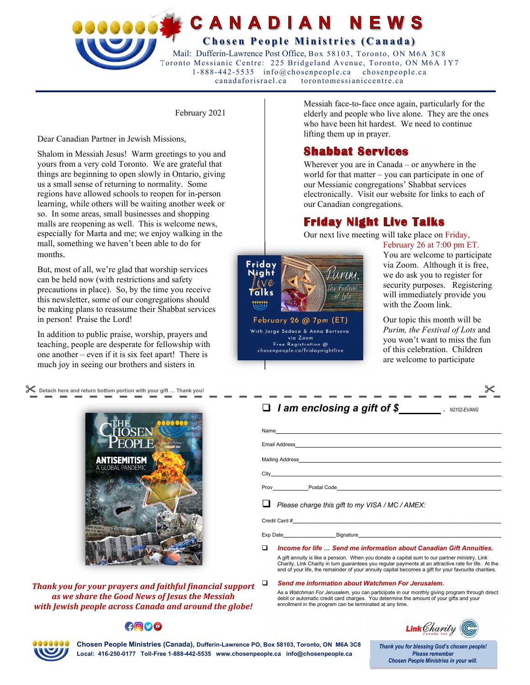

February 2021

Dear Canadian Partner in Jewish Missions,

Shalom in Messiah Jesus! Warm greetings to you and yours from a very cold Toronto. We are grateful that things are beginning to open slowly in Ontario, giving us a small sense of returning to normality. Some regions have allowed schools to reopen for in-person learning, while others will be waiting another week or so. In some areas, small businesses and shopping malls are reopening as well. This is welcome news, especially for Marta and me; we enjoy walking in the mall, something we haven't been able to do for months.

But, most of all, we're glad that worship services can be held now (with restrictions and safety precautions in place). So, by the time you receive this newsletter, some of our congregations should be making plans to reassume their Shabbat services in person! Praise the Lord!

In addition to public praise, worship, prayers and teaching, people are desperate for fellowship with one another – even if it is six feet apart! There is much joy in seeing our brothers and sisters in

 **Detach here and return bottom portion with your gift … Thank you!** 



*Thank you for your prayers and faithful financial support as we share the Good News of Jesus the Messiah with Jewish people across Canada and around the globe!* 

 $\bigcap \bigcirc \bigcirc$ 

Messiah face-to-face once again, particularly for the elderly and people who live alone. They are the ones who have been hit hardest. We need to continue lifting them up in prayer.

### **Shabbat Services**

Wherever you are in Canada – or anywhere in the world for that matter – you can participate in one of our Messianic congregations' Shabbat services electronically. Visit our website for links to each of our Canadian congregations.

## **Friday Night Live Talks**

Our next live meeting will take place on Friday,



February 26 at 7:00 pm ET. You are welcome to participate via Zoom. Although it is free, we do ask you to register for security purposes. Registering will immediately provide you with the Zoom link.

Our topic this month will be *Purim, the Festival of Lots* and you won't want to miss the fun of this celebration. Children are welcome to participate

| $\Box$ I am enclosing a gift of \$                                                                                                                                                                                             |
|--------------------------------------------------------------------------------------------------------------------------------------------------------------------------------------------------------------------------------|
| Name experience and a series of the series of the series of the series of the series of the series of the series of the series of the series of the series of the series of the series of the series of the series of the seri |
|                                                                                                                                                                                                                                |
| Mailing Address Management of the Address Mailing Address Management of the Address Mail and the Address Management of the Address Management of the Address Management of the Address Management of the Address Management of |
|                                                                                                                                                                                                                                |
|                                                                                                                                                                                                                                |
| Please charge this gift to my VISA / MC / AMEX:                                                                                                                                                                                |
|                                                                                                                                                                                                                                |

Exp Date Signature

*Income for life … Send me information about Canadian Gift Annuities.*

A gift annuity is like a pension. When you donate a capital sum to our partner ministry, Link Charity, Link Charity in turn guarantees you regular payments at an attractive rate for life. At the end of your life, the remainder of your annuity capital becomes a gift for your favourite charities.

#### *Send me information about Watchmen For Jerusalem.*

As a *Watchman For Jerusalem,* you can participate in our monthly giving program through direct debit or automatic credit card charges. You determine the amount of your gifts and your enrollment in the program can be terminated at any time.



**Chosen People Ministries (Canada), Dufferin-Lawrence PO, Box 58103, Toronto, ON M6A 3C8 Local: 416-250-0177 Toll-Free 1-888-442-5535 www.chosenpeople.ca info@chosenpeople.ca** 

*Thank you for blessing God's chosen people! Please remember Chosen People Ministries in your will.*